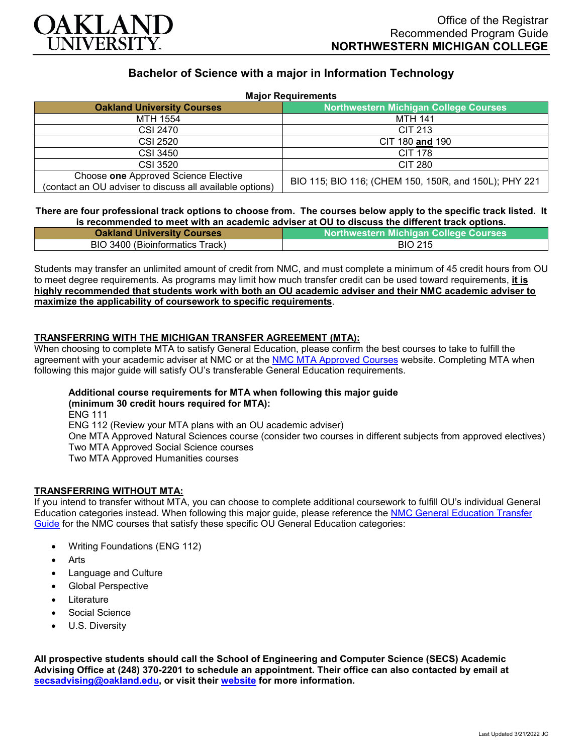

# **Bachelor of Science with a major in Information Technology**

| <b>Major Requirements</b>                                                                        |                                                       |
|--------------------------------------------------------------------------------------------------|-------------------------------------------------------|
| <b>Oakland University Courses</b>                                                                | <b>Northwestern Michigan College Courses</b>          |
| MTH 1554                                                                                         | MTH 141                                               |
| CSI 2470                                                                                         | CIT 213                                               |
| CSI 2520                                                                                         | CIT 180 and 190                                       |
| CSI 3450                                                                                         | <b>CIT 178</b>                                        |
| CSI 3520                                                                                         | <b>CIT 280</b>                                        |
| Choose one Approved Science Elective<br>(contact an OU adviser to discuss all available options) | BIO 115; BIO 116; (CHEM 150, 150R, and 150L); PHY 221 |

#### **There are four professional track options to choose from. The courses below apply to the specific track listed. It is recommended to meet with an academic adviser at OU to discuss the different track options.**

| <b>Oakland University Courses</b> | <b>Northwestern Michigan College Courses</b> |
|-----------------------------------|----------------------------------------------|
| BIO 3400 (Bioinformatics Track)   | <b>BIO 215</b>                               |

Students may transfer an unlimited amount of credit from NMC, and must complete a minimum of 45 credit hours from OU to meet degree requirements. As programs may limit how much transfer credit can be used toward requirements, **it is highly recommended that students work with both an OU academic adviser and their NMC academic adviser to maximize the applicability of coursework to specific requirements**.

## **TRANSFERRING WITH THE MICHIGAN TRANSFER AGREEMENT (MTA):**

When choosing to complete MTA to satisfy General Education, please confirm the best courses to take to fulfill the agreement with your academic adviser at NMC or at the [NMC MTA Approved Courses](https://www.nmc.edu/programs/course-descriptions/group-1-courses-for-mta.pdf) website. Completing MTA when following this major guide will satisfy OU's transferable General Education requirements.

# **Additional course requirements for MTA when following this major guide**

**(minimum 30 credit hours required for MTA):** ENG 111 ENG 112 (Review your MTA plans with an OU academic adviser) One MTA Approved Natural Sciences course (consider two courses in different subjects from approved electives) Two MTA Approved Social Science courses Two MTA Approved Humanities courses

### **TRANSFERRING WITHOUT MTA:**

If you intend to transfer without MTA, you can choose to complete additional coursework to fulfill OU's individual General Education categories instead. When following this major guide, please reference the [NMC General Education Transfer](https://www.oakland.edu/Assets/Oakland/program-guides/northwestern-michigan-college/university-general-education-requirements/Northwestern%20Gen%20Ed.pdf)  [Guide](https://www.oakland.edu/Assets/Oakland/program-guides/northwestern-michigan-college/university-general-education-requirements/Northwestern%20Gen%20Ed.pdf) for the NMC courses that satisfy these specific OU General Education categories:

- Writing Foundations (ENG 112)
- **Arts**
- Language and Culture
- Global Perspective
- **Literature**
- Social Science
- U.S. Diversity

**All prospective students should call the School of Engineering and Computer Science (SECS) Academic Advising Office at (248) 370-2201 to schedule an appointment. Their office can also contacted by email at [secsadvising@oakland.edu,](mailto:secsadvising@oakland.edu) or visit their [website](https://wwwp.oakland.edu/secs/advising/) for more information.**